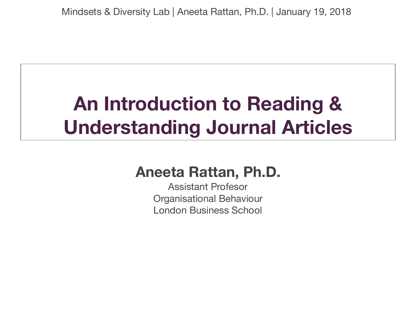### **An Introduction to Reading & Understanding Journal Articles**

#### **Aneeta Rattan, Ph.D.**

Assistant Profesor Organisational Behaviour London Business School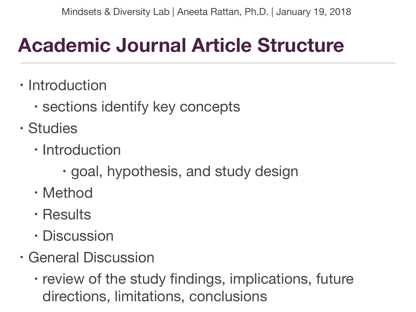## **Academic Journal Article Structure**

- Introduction
	- sections identify key concepts
- Studies
	- Introduction
		- goal, hypothesis, and study design
	- Method
	- Results
	- Discussion
- General Discussion
	- review of the study findings, implications, future directions, limitations, conclusions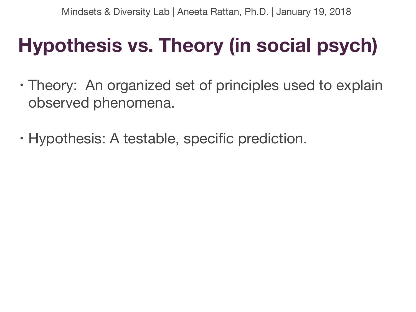## **Hypothesis vs. Theory (in social psych)**

- Theory: An organized set of principles used to explain observed phenomena.
- Hypothesis: A testable, specific prediction.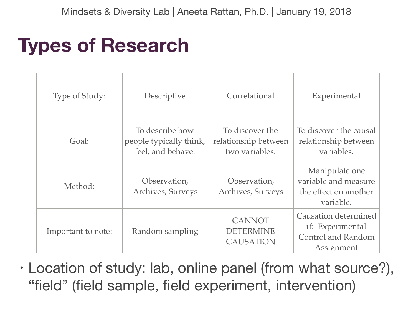#### **Types of Research**

| Type of Study:     | Descriptive                                                     | Correlational                                             | Experimental                                                                               |
|--------------------|-----------------------------------------------------------------|-----------------------------------------------------------|--------------------------------------------------------------------------------------------|
| Goal:              | To describe how<br>people typically think,<br>feel, and behave. | To discover the<br>relationship between<br>two variables. | To discover the causal<br>relationship between<br>variables.                               |
| Method:            | Observation,<br>Archives, Surveys                               | Observation,<br>Archives, Surveys                         | Manipulate one<br>variable and measure<br>the effect on another<br>variable.               |
| Important to note: | Random sampling                                                 | <b>CANNOT</b><br><b>DETERMINE</b><br>CAUSATION            | <b>Causation determined</b><br>if: Experimental<br><b>Control and Random</b><br>Assignment |

• Location of study: lab, online panel (from what source?), "field" (field sample, field experiment, intervention)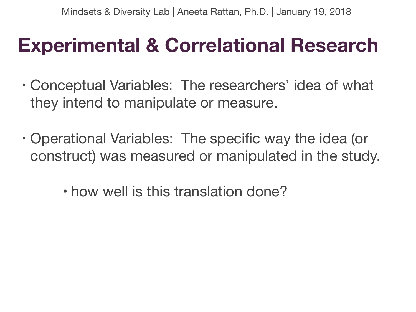### **Experimental & Correlational Research**

- Conceptual Variables: The researchers' idea of what they intend to manipulate or measure.
- Operational Variables: The specific way the idea (or construct) was measured or manipulated in the study.

• how well is this translation done?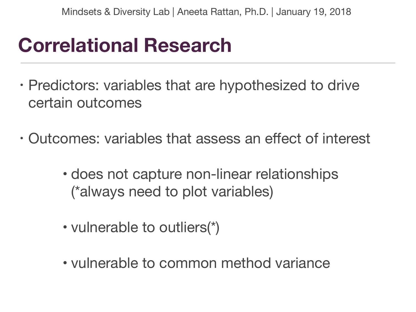#### **Correlational Research**

- Predictors: variables that are hypothesized to drive certain outcomes
- Outcomes: variables that assess an effect of interest
	- does not capture non-linear relationships (\*always need to plot variables)
	- vulnerable to outliers(\*)
	- vulnerable to common method variance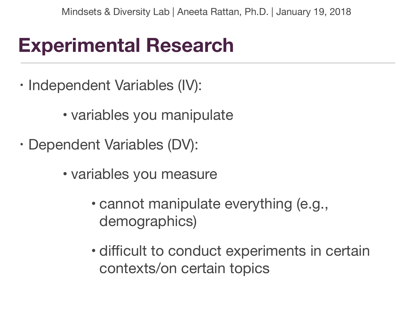#### **Experimental Research**

- Independent Variables (IV):
	- variables you manipulate
- Dependent Variables (DV):
	- variables you measure
		- cannot manipulate everything (e.g., demographics)
		- difficult to conduct experiments in certain contexts/on certain topics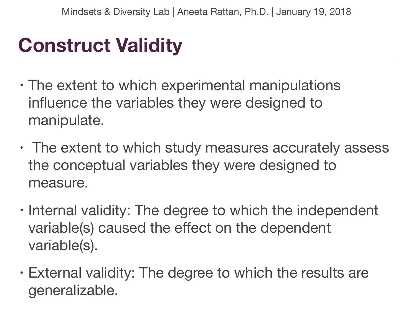## **Construct Validity**

- The extent to which experimental manipulations influence the variables they were designed to manipulate.
- The extent to which study measures accurately assess the conceptual variables they were designed to measure.
- Internal validity: The degree to which the independent variable(s) caused the effect on the dependent variable(s).
- External validity: The degree to which the results are generalizable.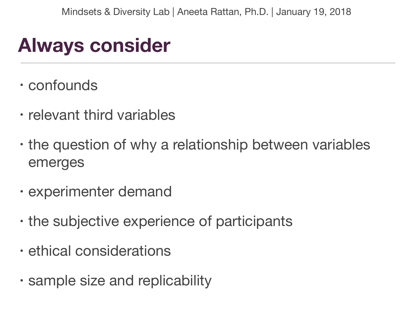#### **Always consider**

- confounds
- relevant third variables
- the question of why a relationship between variables emerges
- experimenter demand
- the subjective experience of participants
- ethical considerations
- sample size and replicability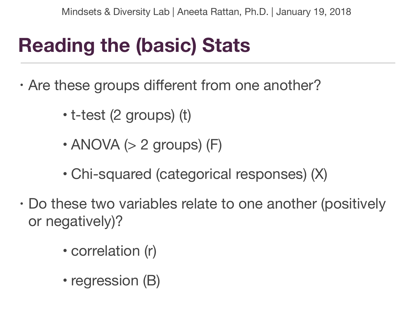# **Reading the (basic) Stats**

- Are these groups different from one another?
	- t-test (2 groups) (t)
	- $\cdot$  ANOVA ( $>$  2 groups) (F)
	- Chi-squared (categorical responses) (X)
- Do these two variables relate to one another (positively or negatively)?
	- correlation (r)
	- regression (B)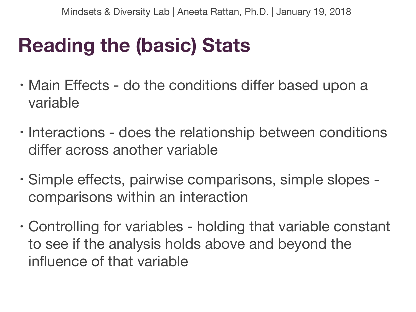## **Reading the (basic) Stats**

- Main Effects do the conditions differ based upon a variable
- Interactions does the relationship between conditions differ across another variable
- Simple effects, pairwise comparisons, simple slopes comparisons within an interaction
- Controlling for variables holding that variable constant to see if the analysis holds above and beyond the influence of that variable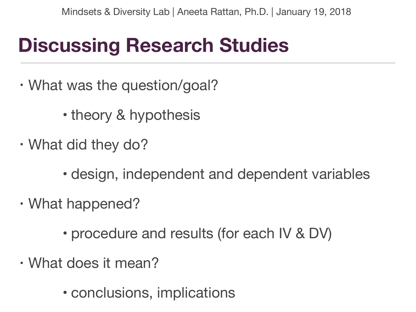## **Discussing Research Studies**

- What was the question/goal?
	- theory & hypothesis
- What did they do?
	- design, independent and dependent variables
- What happened?
	- procedure and results (for each IV & DV)
- What does it mean?
	- conclusions, implications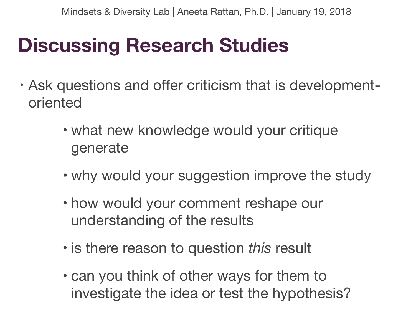## **Discussing Research Studies**

- Ask questions and offer criticism that is developmentoriented
	- what new knowledge would your critique generate
	- why would your suggestion improve the study
	- how would your comment reshape our understanding of the results
	- is there reason to question *this* result
	- can you think of other ways for them to investigate the idea or test the hypothesis?